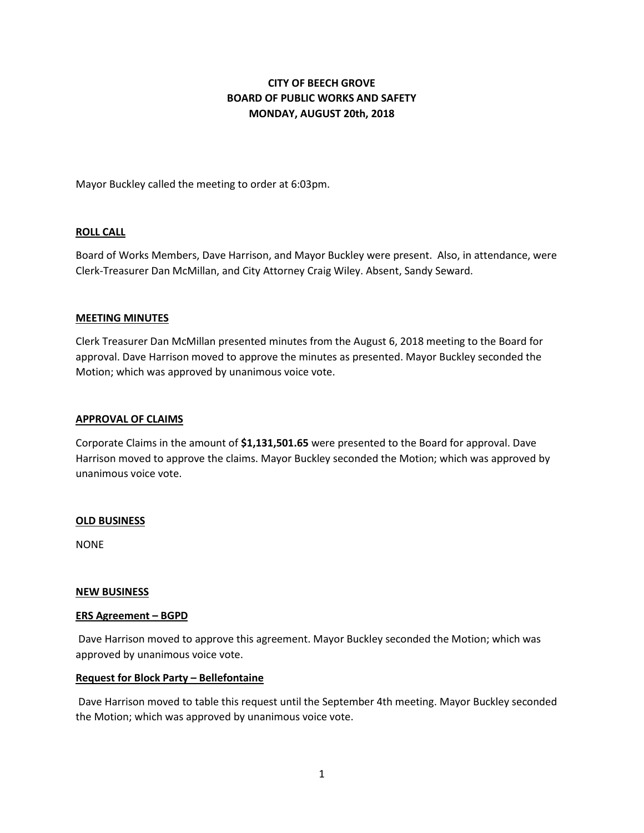# **CITY OF BEECH GROVE BOARD OF PUBLIC WORKS AND SAFETY MONDAY, AUGUST 20th, 2018**

Mayor Buckley called the meeting to order at 6:03pm.

## **ROLL CALL**

Board of Works Members, Dave Harrison, and Mayor Buckley were present. Also, in attendance, were Clerk-Treasurer Dan McMillan, and City Attorney Craig Wiley. Absent, Sandy Seward.

#### **MEETING MINUTES**

Clerk Treasurer Dan McMillan presented minutes from the August 6, 2018 meeting to the Board for approval. Dave Harrison moved to approve the minutes as presented. Mayor Buckley seconded the Motion; which was approved by unanimous voice vote.

#### **APPROVAL OF CLAIMS**

Corporate Claims in the amount of **\$1,131,501.65** were presented to the Board for approval. Dave Harrison moved to approve the claims. Mayor Buckley seconded the Motion; which was approved by unanimous voice vote.

#### **OLD BUSINESS**

NONE

#### **NEW BUSINESS**

#### **ERS Agreement – BGPD**

Dave Harrison moved to approve this agreement. Mayor Buckley seconded the Motion; which was approved by unanimous voice vote.

#### **Request for Block Party – Bellefontaine**

Dave Harrison moved to table this request until the September 4th meeting. Mayor Buckley seconded the Motion; which was approved by unanimous voice vote.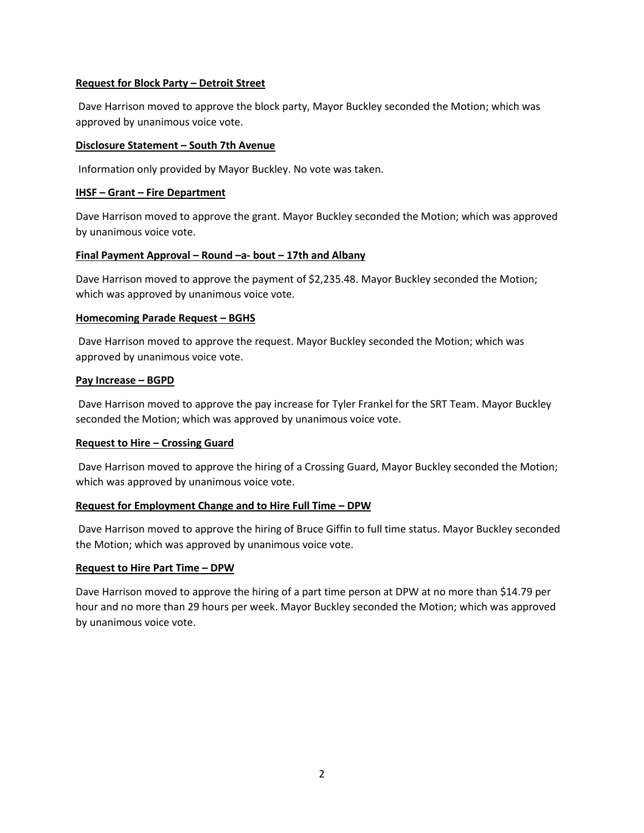# **Request for Block Party – Detroit Street**

Dave Harrison moved to approve the block party, Mayor Buckley seconded the Motion; which was approved by unanimous voice vote.

#### **Disclosure Statement – South 7th Avenue**

Information only provided by Mayor Buckley. No vote was taken.

#### **IHSF – Grant – Fire Department**

Dave Harrison moved to approve the grant. Mayor Buckley seconded the Motion; which was approved by unanimous voice vote.

## **Final Payment Approval – Round –a- bout – 17th and Albany**

Dave Harrison moved to approve the payment of \$2,235.48. Mayor Buckley seconded the Motion; which was approved by unanimous voice vote.

## **Homecoming Parade Request - BGHS**

Dave Harrison moved to approve the request. Mayor Buckley seconded the Motion; which was approved by unanimous voice vote.

## **Pay Increase – BGPD**

Dave Harrison moved to approve the pay increase for Tyler Frankel for the SRT Team. Mayor Buckley seconded the Motion; which was approved by unanimous voice vote.

# **Request to Hire – Crossing Guard**

Dave Harrison moved to approve the hiring of a Crossing Guard, Mayor Buckley seconded the Motion; which was approved by unanimous voice vote.

# **Request for Employment Change and to Hire Full Time – DPW**

Dave Harrison moved to approve the hiring of Bruce Giffin to full time status. Mayor Buckley seconded the Motion; which was approved by unanimous voice vote.

# **Request to Hire Part Time – DPW**

Dave Harrison moved to approve the hiring of a part time person at DPW at no more than \$14.79 per hour and no more than 29 hours per week. Mayor Buckley seconded the Motion; which was approved by unanimous voice vote.